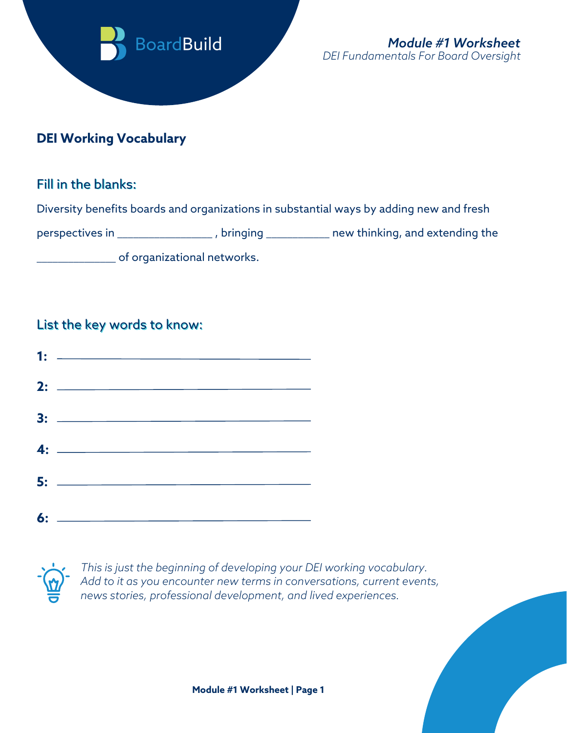

# **DEI Working Vocabulary**

## Fill in the blanks:

Diversity benefits boards and organizations in substantial ways by adding new and fresh

perspectives in \_\_\_\_\_\_\_\_\_\_\_\_\_\_\_\_\_\_\_, bringing \_\_\_\_\_\_\_\_\_\_\_\_ new thinking, and extending the

of organizational networks.

## List the key words to know:





*This is just the beginning of developing your DEI working vocabulary. Add to it as you encounter new terms in conversations, current events, news stories, professional development, and lived experiences.*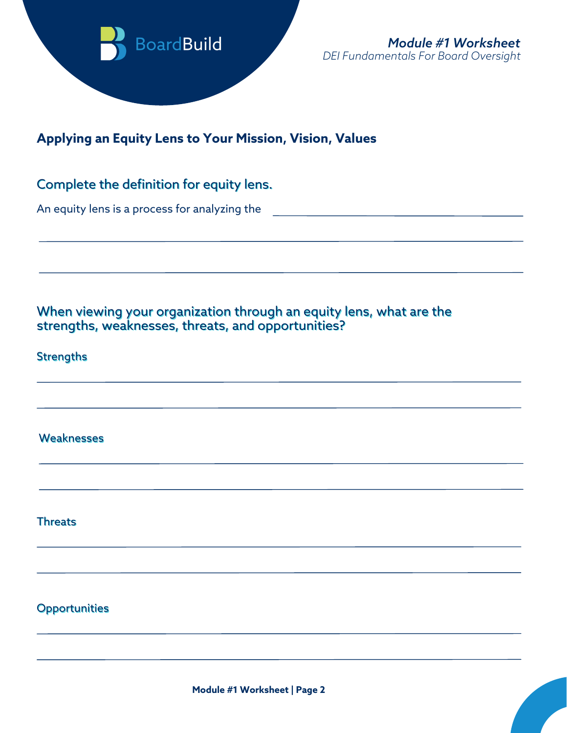

## **Applying an Equity Lens to Your Mission, Vision, Values**

### Complete the definition for equity lens.

An equity lens is a process for analyzing the

When viewing your organization through an equity lens, what are the strengths, weaknesses, threats, and opportunities?

**Strengths** 

**Weaknesses** 

**Threats** 

**Opportunities**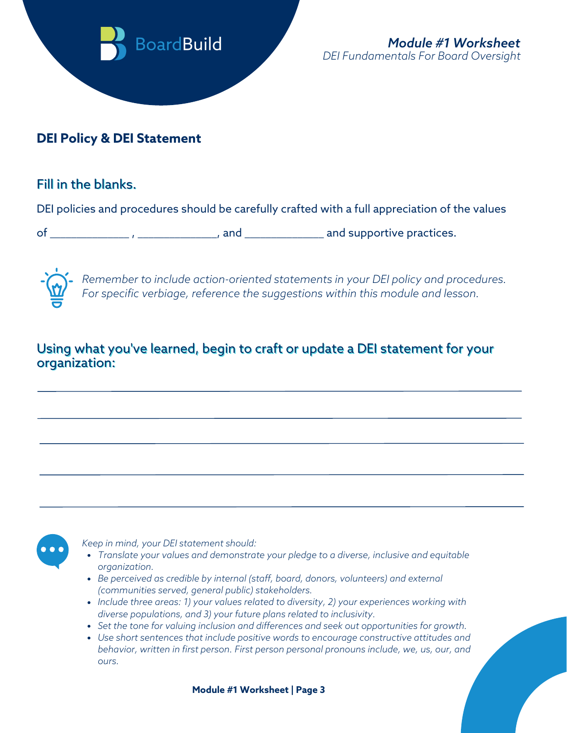

## **DEI Policy & DEI Statement**

## Fill in the blanks.

DEI policies and procedures should be carefully crafted with a full appreciation of the values

of \_\_\_\_\_\_\_\_\_\_\_\_\_\_\_ , \_\_\_\_\_\_\_\_\_\_\_\_\_\_\_, and \_\_\_\_\_\_\_\_\_\_\_\_\_\_\_ and supportive practices.



*Remember to include action-oriented statements in your DEI policy and procedures. For specific verbiage, reference the suggestions within this module and lesson.*

## Using what you've learned, begin to craft or update a DEI statement for your organization:



*Keep in mind, your DEI statement should:*

- *Translate your values and demonstrate your pledge to a diverse, inclusive and equitable organization.*
- *Be perceived as credible by internal (staff, board, donors, volunteers) and external (communities served, general public) stakeholders.*
- *Include three areas: 1) your values related to diversity, 2) your experiences working with diverse populations, and 3) your future plans related to inclusivity.*
- *Set the tone for valuing inclusion and differences and seek out opportunities for growth.*
- *Use short sentences that include positive words to encourage constructive attitudes and behavior, written in first person. First person personal pronouns include, we, us, our, and ours.*

**Module #1 Worksheet | Page 3**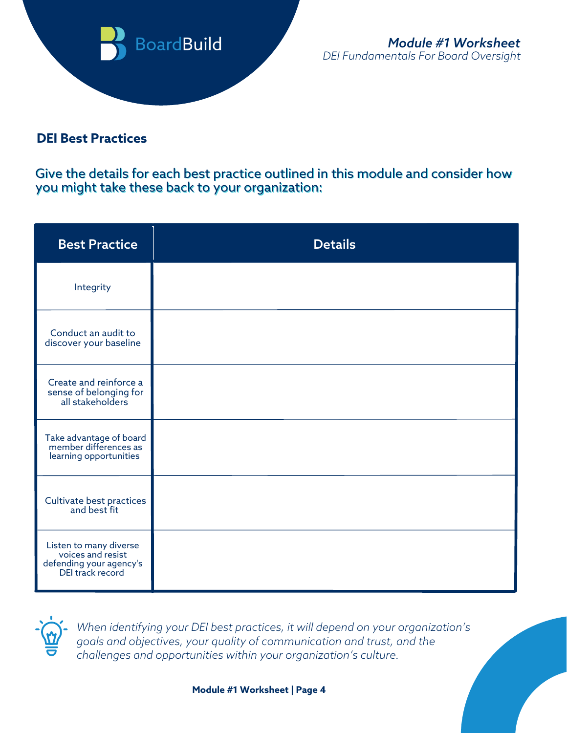

## **DEI Best Practices**

Give the details for each best practice outlined in this module and consider how you might take these back to your organization:

| <b>Best Practice</b>                                                                       | <b>Details</b> |
|--------------------------------------------------------------------------------------------|----------------|
| Integrity                                                                                  |                |
| Conduct an audit to<br>discover your baseline                                              |                |
| Create and reinforce a<br>sense of belonging for<br>all stakeholders                       |                |
| Take advantage of board<br>member differences as<br>learning opportunities                 |                |
| Cultivate best practices<br>and best fit                                                   |                |
| Listen to many diverse<br>voices and resist<br>defending your agency's<br>DEI track record |                |



*When identifying your DEI best practices, it will depend on your organization's goals and objectives, your quality of communication and trust, and the challenges and opportunities within your organization's culture.*